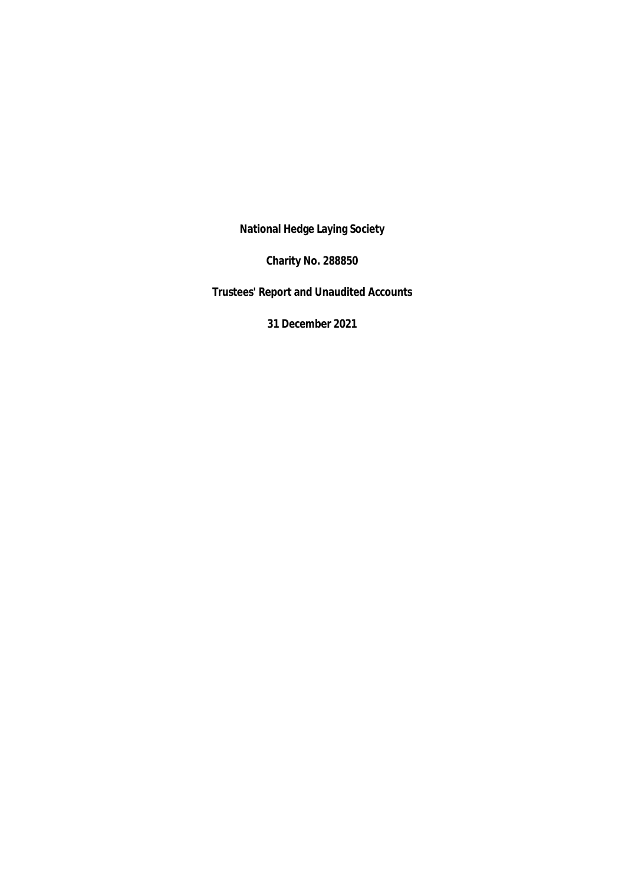**National Hedge Laying Society**

**Charity No. 288850**

**Trustees' Report and Unaudited Accounts**

**31 December 2021**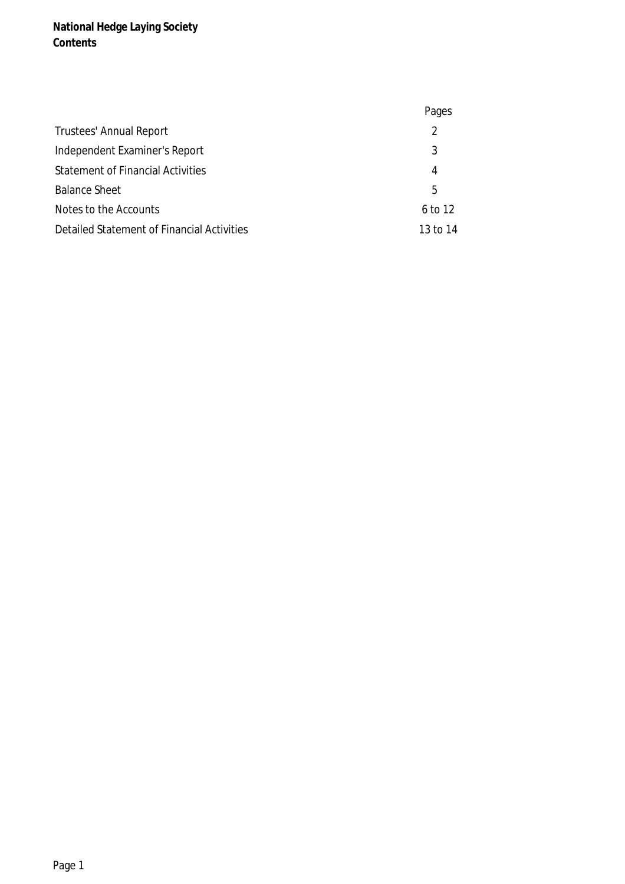**National Hedge Laying Society Contents**

|                                            | Pages    |
|--------------------------------------------|----------|
| <b>Trustees' Annual Report</b>             | 2        |
| Independent Examiner's Report              | 3        |
| <b>Statement of Financial Activities</b>   | 4        |
| <b>Balance Sheet</b>                       | 5        |
| Notes to the Accounts                      | 6 to 12  |
| Detailed Statement of Financial Activities | 13 to 14 |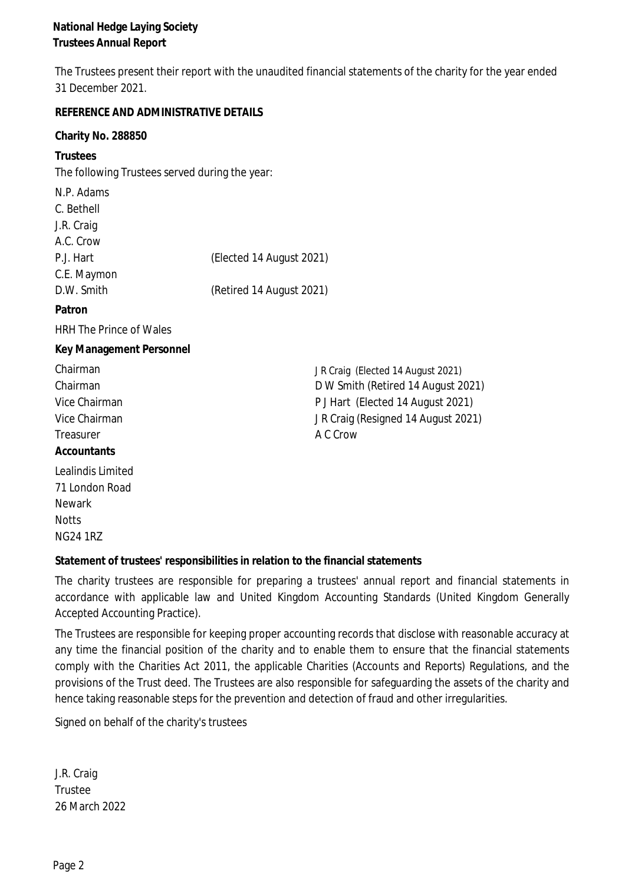**National Hedge Laying Society Trustees Annual Report**

The Trustees present their report with the unaudited financial statements of the charity for the year ended 31 December 2021.

**REFERENCE AND ADMINISTRATIVE DETAILS Charity No. 288850 Trustees** The following Trustees served during the year: N.P. Adams C. Bethell J.R. Craig A.C. Crow P.J. Hart (Elected 14 August 2021) C.E. Maymon D.W. Smith (Retired 14 August 2021) **Patron** HRH The Prince of Wales **Key Management Personnel** Chairman JR Craig (Elected 14 August 2021) Chairman D W Smith (Retired 14 August 2021) Vice Chairman **P** J Hart (Elected 14 August 2021) Vice Chairman J R Craig (Resigned 14 August 2021) Treasurer A C Crow **Accountants** Lealindis Limited 71 London Road Newark

**Statement of trustees' responsibilities in relation to the financial statements**

The charity trustees are responsible for preparing <sup>a</sup> trustees' annual report and financial statements in accordance with applicable law and United Kingdom Accounting Standards (United Kingdom Generally Accepted Accounting Practice).

The Trustees are responsible for keeping proper accounting records that disclose with reasonable accuracy at any time the financial position of the charity and to enable them to ensure that the financial statements comply with the Charities Act 2011, the applicable Charities (Accounts and Reports) Regulations, and the provisions of the Trust deed. The Trustees are also responsible for safeguarding the assets of the charity and hence taking reasonable steps for the prevention and detection of fraud and other irregularities.

Signed on behalf of the charity's trustees

J.R. Craig Trustee 26 March 2022

**Notts** NG24 1RZ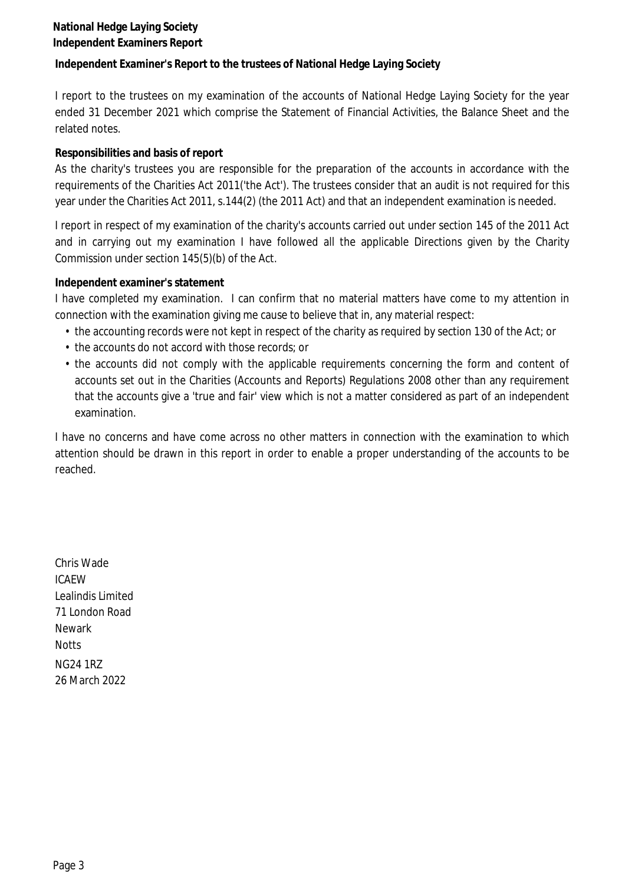## **National Hedge Laying Society Independent Examiners Report**

**Independent Examiner's Report to the trustees of National Hedge Laying Society**

I report to the trustees on my examination of the accounts of National Hedge Laying Society for the year ended 31 December 2021 which comprise the Statement of Financial Activities, the Balance Sheet and the related notes.

## **Responsibilities and basis of report**

As the charity's trustees you are responsible for the preparation of the accounts in accordance with the requirements of the Charities Act 2011('the Act'). The trustees consider that an audit is not required for this year under the Charities Act 2011, s.144(2) (the 2011 Act) and that an independent examination is needed.

I report in respect of my examination of the charity's accounts carried out under section 145 of the 2011 Act and in carrying out my examination I have followed all the applicable Directions given by the Charity Commission under section 145(5)(b) of the Act.

#### **Independent examiner's statement**

I have completed my examination. I can confirm that no material matters have come to my attention in connection with the examination giving me cause to believe that in, any material respect:

- the accounting records were not kept in respect of the charity as required by section 130 of the Act; or
- the accounts do not accord with those records; or
- the accounts did not comply with the applicable requirements concerning the form and content of accounts set out in the Charities (Accounts and Reports) Regulations 2008 other than any requirement that the accounts give <sup>a</sup> 'true and fair' view which is not <sup>a</sup> matter considered as part of an independent examination.

I have no concerns and have come across no other matters in connection with the examination to which attention should be drawn in this report in order to enable <sup>a</sup> proper understanding of the accounts to be reached.

Chris Wade ICAEW Lealindis Limited 71 London Road Newark **Notts** NG24 1RZ 26 March 2022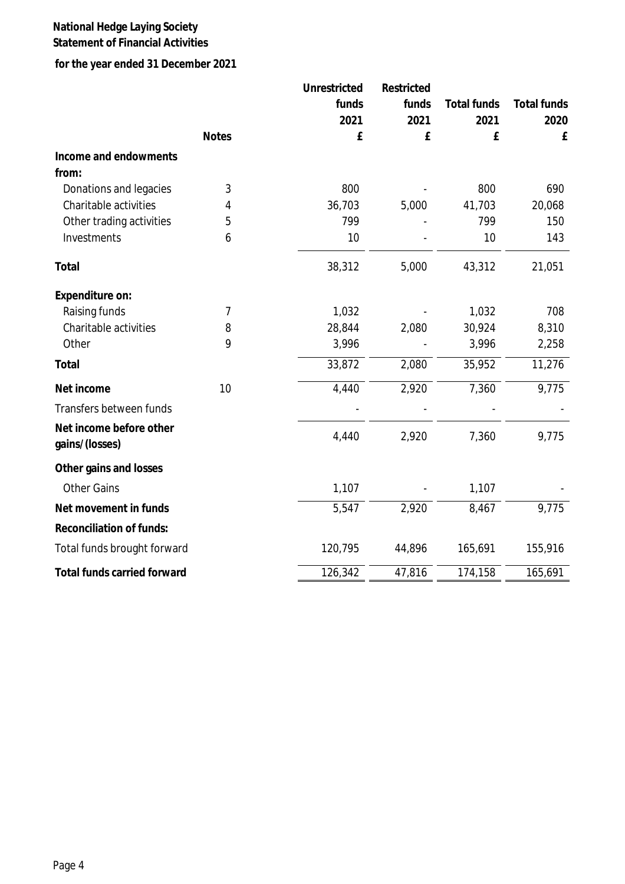# **National Hedge Laying Society**

# **Statement of Financial Activities**

# **for the year ended 31 December 2021**

|                                           |              | Unrestricted | Restricted |                    |             |
|-------------------------------------------|--------------|--------------|------------|--------------------|-------------|
|                                           |              | funds        | funds      | <b>Total funds</b> | Total funds |
|                                           |              | 2021         | 2021       | 2021               | 2020        |
|                                           | <b>Notes</b> | £            | £          | £                  | £           |
| Income and endowments                     |              |              |            |                    |             |
| from:                                     |              |              |            |                    |             |
| Donations and legacies                    | 3            | 800          |            | 800                | 690         |
| Charitable activities                     | 4            | 36,703       | 5,000      | 41,703             | 20,068      |
| Other trading activities                  | 5            | 799          |            | 799                | 150         |
| Investments                               | 6            | 10           |            | 10                 | 143         |
| Total                                     |              | 38,312       | 5,000      | 43,312             | 21,051      |
| Expenditure on:                           |              |              |            |                    |             |
| Raising funds                             | 7            | 1,032        |            | 1,032              | 708         |
| Charitable activities                     | 8            | 28,844       | 2,080      | 30,924             | 8,310       |
| Other                                     | 9            | 3,996        |            | 3,996              | 2,258       |
| Total                                     |              | 33,872       | 2,080      | 35,952             | 11,276      |
| Net income                                | 10           | 4,440        | 2,920      | 7,360              | 9,775       |
| Transfers between funds                   |              |              |            |                    |             |
| Net income before other<br>gains/(losses) |              | 4,440        | 2,920      | 7,360              | 9,775       |
| Other gains and losses                    |              |              |            |                    |             |
| <b>Other Gains</b>                        |              | 1,107        |            | 1,107              |             |
| Net movement in funds                     |              | 5,547        | 2,920      | 8,467              | 9,775       |
| Reconciliation of funds:                  |              |              |            |                    |             |
| Total funds brought forward               |              | 120,795      | 44,896     | 165,691            | 155,916     |
| Total funds carried forward               |              | 126,342      | 47,816     | 174,158            | 165,691     |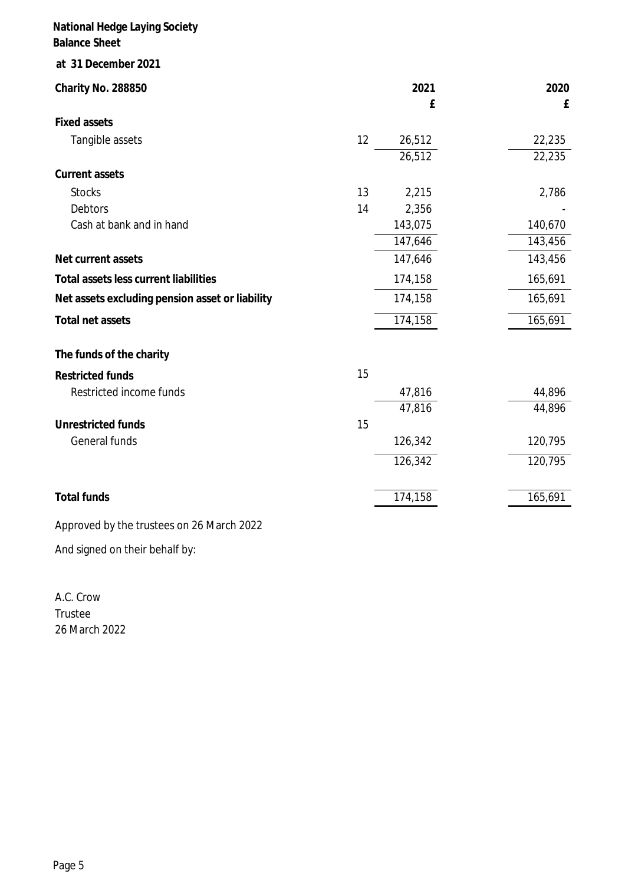|    | 2021<br>£        | 2020<br>E        |
|----|------------------|------------------|
|    |                  |                  |
| 12 | 26,512<br>26,512 | 22,235<br>22,235 |
|    |                  |                  |
| 13 | 2,215            | 2,786            |
| 14 | 2,356            |                  |
|    | 143,075          | 140,670          |
|    |                  | 143,456          |
|    | 147,646          | 143,456          |
|    | 174,158          | 165,691          |
|    | 174,158          | 165,691          |
|    | 174,158          | 165,691          |
|    |                  |                  |
| 15 |                  |                  |
|    | 47,816           | 44,896           |
|    | 47,816           | 44,896           |
| 15 |                  |                  |
|    | 126,342          | 120,795          |
|    | 126,342          | 120,795          |
|    | 174,158          | 165,691          |
|    |                  | 147,646          |

Approved by the trustees on 26 March 2022

And signed on their behalf by:

A.C. Crow Trustee 26 March 2022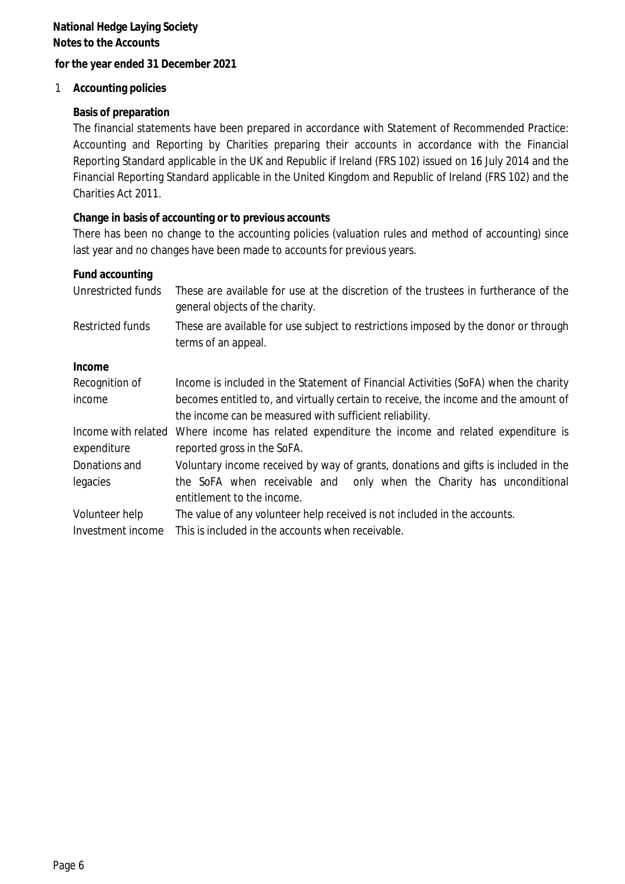**for the year ended 31 December 2021**

1 **Accounting policies**

#### **Basis of preparation**

The financial statements have been prepared in accordance with Statement of Recommended Practice: Accounting and Reporting by Charities preparing their accounts in accordance with the Financial Reporting Standard applicable in the UK and Republic if Ireland (FRS 102) issued on 16 July 2014 and the Financial Reporting Standard applicable in the United Kingdom and Republic of Ireland (FRS 102) and the Charities Act 2011.

**Change in basis of accounting or to previous accounts**

There has been no change to the accounting policies (valuation rules and method of accounting) since last year and no changes have been made to accounts for previous years.

| Fund accounting                    |                                                                                                                                                |
|------------------------------------|------------------------------------------------------------------------------------------------------------------------------------------------|
| Unrestricted funds                 | These are available for use at the discretion of the trustees in furtherance of the<br>general objects of the charity.                         |
| Restricted funds                   | These are available for use subject to restrictions imposed by the donor or through<br>terms of an appeal.                                     |
| Income                             |                                                                                                                                                |
| Recognition of                     | Income is included in the Statement of Financial Activities (SoFA) when the charity                                                            |
| income                             | becomes entitled to, and virtually certain to receive, the income and the amount of<br>the income can be measured with sufficient reliability. |
| Income with related<br>expenditure | Where income has related expenditure the income and related expenditure is<br>reported gross in the SoFA.                                      |
| Donations and                      | Voluntary income received by way of grants, donations and gifts is included in the                                                             |
| legacies                           | the SoFA when receivable and only when the Charity has unconditional<br>entitlement to the income.                                             |
| Volunteer help                     | The value of any volunteer help received is not included in the accounts.                                                                      |
| Investment income                  | This is included in the accounts when receivable.                                                                                              |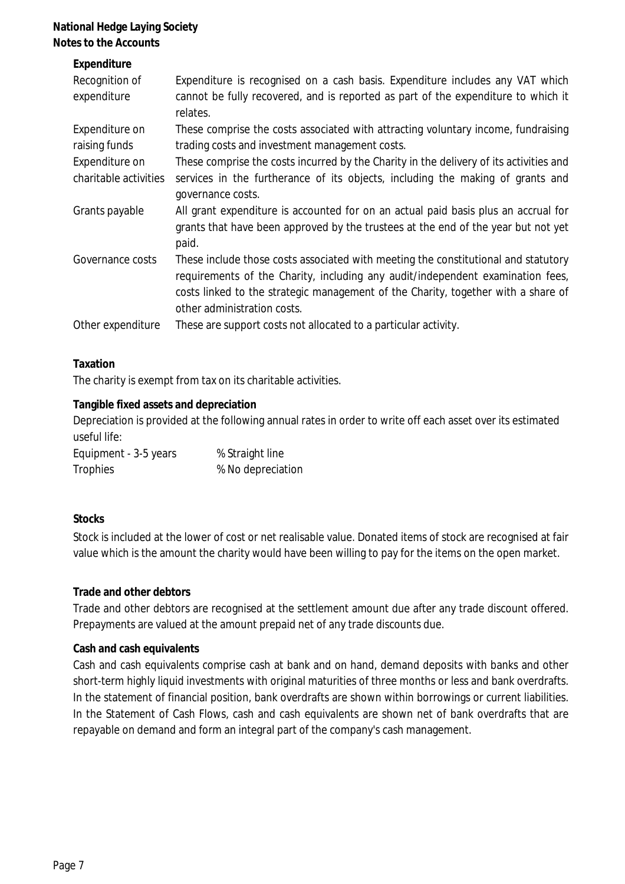| Expenditure<br>Recognition of<br>expenditure | Expenditure is recognised on a cash basis. Expenditure includes any VAT which<br>cannot be fully recovered, and is reported as part of the expenditure to which it<br>relates.                                                                                                           |
|----------------------------------------------|------------------------------------------------------------------------------------------------------------------------------------------------------------------------------------------------------------------------------------------------------------------------------------------|
| Expenditure on                               | These comprise the costs associated with attracting voluntary income, fundraising                                                                                                                                                                                                        |
| raising funds                                | trading costs and investment management costs.                                                                                                                                                                                                                                           |
| Expenditure on                               | These comprise the costs incurred by the Charity in the delivery of its activities and                                                                                                                                                                                                   |
| charitable activities                        | services in the furtherance of its objects, including the making of grants and<br>governance costs.                                                                                                                                                                                      |
| Grants payable                               | All grant expenditure is accounted for on an actual paid basis plus an accrual for<br>grants that have been approved by the trustees at the end of the year but not yet<br>paid.                                                                                                         |
| Governance costs                             | These include those costs associated with meeting the constitutional and statutory<br>requirements of the Charity, including any audit/independent examination fees,<br>costs linked to the strategic management of the Charity, together with a share of<br>other administration costs. |
| Other expenditure                            | These are support costs not allocated to a particular activity.                                                                                                                                                                                                                          |

#### **Taxation**

The charity is exempt from tax on its charitable activities.

#### **Tangible fixed assets and depreciation**

Depreciation is provided at the following annual rates in order to write off each asset over its estimated useful life:

| Equipment - 3-5 years | % Straight line   |
|-----------------------|-------------------|
| Trophies              | % No depreciation |

#### **Stocks**

Stock is included at the lower of cost or net realisable value. Donated items of stock are recognised at fair value which is the amount the charity would have been willing to pay for the items on the open market.

#### **Trade and other debtors**

Trade and other debtors are recognised at the settlement amount due after any trade discount offered. Prepayments are valued at the amount prepaid net of any trade discounts due.

#### **Cash and cash equivalents**

Cash and cash equivalents comprise cash at bank and on hand, demand deposits with banks and other short-term highly liquid investments with original maturities of three months or less and bank overdrafts. In the statement of financial position, bank overdrafts are shown within borrowings or current liabilities. In the Statement of Cash Flows, cash and cash equivalents are shown net of bank overdrafts that are repayable on demand and form an integral part of the company's cash management.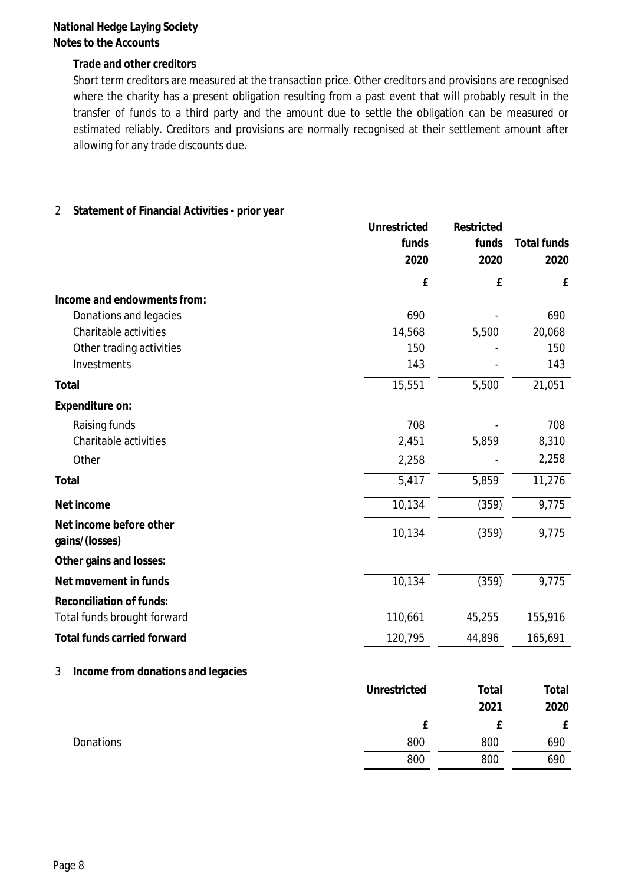**Trade and other creditors**

Short term creditors are measured at the transaction price. Other creditors and provisions are recognised where the charity has <sup>a</sup> present obligation resulting from <sup>a</sup> past event that will probably result in the transfer of funds to <sup>a</sup> third party and the amount due to settle the obligation can be measured or estimated reliably. Creditors and provisions are normally recognised at their settlement amount after allowing for any trade discounts due.

|  | 2 Statement of Financial Activities - prior year |
|--|--------------------------------------------------|
|--|--------------------------------------------------|

|                                           | Unrestricted | Restricted |             |
|-------------------------------------------|--------------|------------|-------------|
|                                           | funds        | funds      | Total funds |
|                                           | 2020         | 2020       | 2020        |
|                                           | £            | £          | £           |
| Income and endowments from:               |              |            |             |
| Donations and legacies                    | 690          |            | 690         |
| Charitable activities                     | 14,568       | 5,500      | 20,068      |
| Other trading activities                  | 150          |            | 150         |
| Investments                               | 143          |            | 143         |
| Total                                     | 15,551       | 5,500      | 21,051      |
| Expenditure on:                           |              |            |             |
| Raising funds                             | 708          |            | 708         |
| Charitable activities                     | 2,451        | 5,859      | 8,310       |
| Other                                     | 2,258        |            | 2,258       |
| Total                                     | 5,417        | 5,859      | 11,276      |
| Net income                                | 10,134       | (359)      | 9,775       |
| Net income before other<br>gains/(losses) | 10,134       | (359)      | 9,775       |
| Other gains and losses:                   |              |            |             |
| Net movement in funds                     | 10,134       | (359)      | 9,775       |
| Reconciliation of funds:                  |              |            |             |
| Total funds brought forward               | 110,661      | 45,255     | 155,916     |
| Total funds carried forward               | 120,795      | 44,896     | 165,691     |
| Income from donations and legacies<br>3   |              |            |             |
|                                           | Unrestricted | Total      | Total       |
|                                           |              | 2021       | 2020        |
|                                           | £            | £          | £           |
| Donations                                 | 800          | 800        | 690         |
|                                           | 800          | 800        | 690         |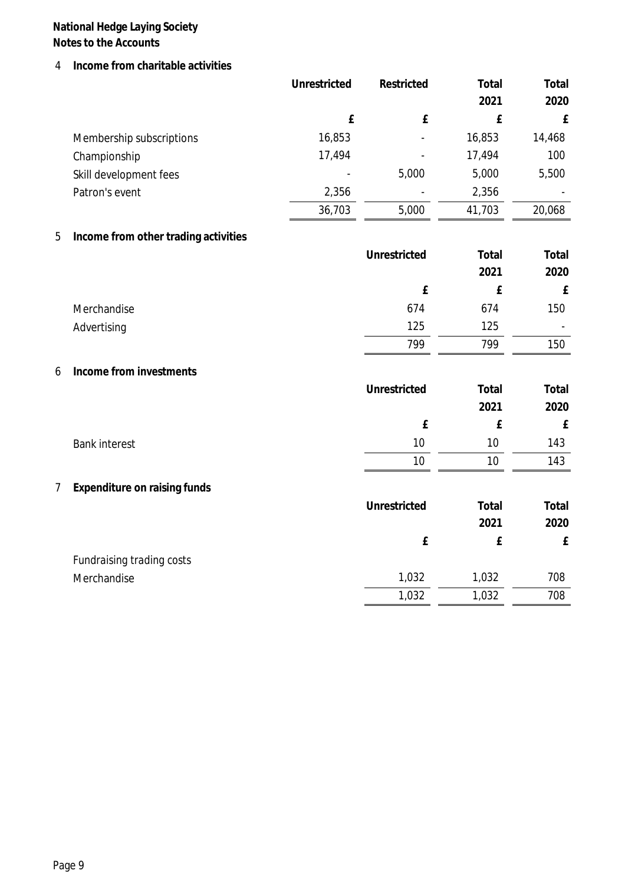4 **Income from charitable activities**

|                |                                      | Unrestricted | Restricted   | Total  | Total     |
|----------------|--------------------------------------|--------------|--------------|--------|-----------|
|                |                                      |              |              | 2021   | 2020      |
|                |                                      | £            | ${\tt f}$    | £      | ${\bf f}$ |
|                | Membership subscriptions             | 16,853       |              | 16,853 | 14,468    |
|                | Championship                         | 17,494       |              | 17,494 | 100       |
|                | Skill development fees               |              | 5,000        | 5,000  | 5,500     |
|                | Patron's event                       | 2,356        |              | 2,356  |           |
|                |                                      | 36,703       | 5,000        | 41,703 | 20,068    |
| 5              | Income from other trading activities |              |              |        |           |
|                |                                      |              | Unrestricted | Total  | Total     |
|                |                                      |              |              | 2021   | 2020      |
|                |                                      |              | £            | £      | ${\bf f}$ |
|                | Merchandise                          |              | 674          | 674    | 150       |
|                | Advertising                          |              | 125          | 125    |           |
|                |                                      |              | 799          | 799    | 150       |
| 6              | Income from investments              |              |              |        |           |
|                |                                      |              | Unrestricted | Total  | Total     |
|                |                                      |              |              | 2021   | 2020      |
|                |                                      |              | £            | £      | ${\bf f}$ |
|                | <b>Bank interest</b>                 |              | 10           | 10     | 143       |
|                |                                      |              | 10           | 10     | 143       |
| $\overline{7}$ | Expenditure on raising funds         |              |              |        |           |
|                |                                      |              | Unrestricted | Total  | Total     |
|                |                                      |              |              | 2021   | 2020      |
|                |                                      |              | £            | £      | £         |
|                | Fundraising trading costs            |              |              |        |           |
|                | Merchandise                          |              | 1,032        | 1,032  | 708       |
|                |                                      |              | 1,032        | 1,032  | 708       |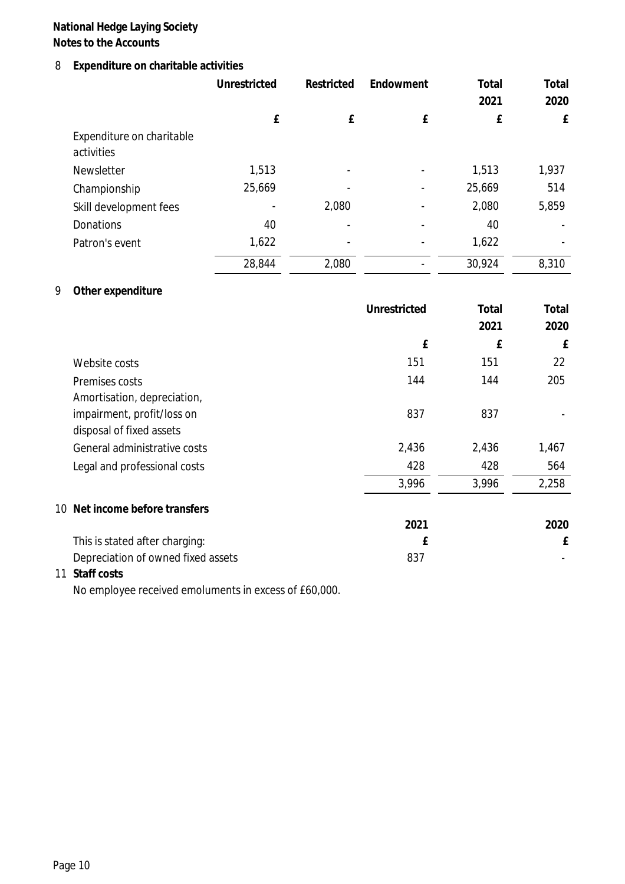## 8 **Expenditure on charitable activities**

|                                         | Unrestricted | Restricted | Endowment                | Total  | Total |
|-----------------------------------------|--------------|------------|--------------------------|--------|-------|
|                                         |              |            |                          | 2021   | 2020  |
|                                         | £            | £          | £                        | £      | £     |
| Expenditure on charitable<br>activities |              |            |                          |        |       |
| Newsletter                              | 1,513        |            | $\overline{\phantom{0}}$ | 1,513  | 1,937 |
| Championship                            | 25,669       |            | $\overline{\phantom{0}}$ | 25,669 | 514   |
| Skill development fees                  |              | 2,080      |                          | 2,080  | 5,859 |
| Donations                               | 40           |            | $\overline{\phantom{0}}$ | 40     |       |
| Patron's event                          | 1,622        |            |                          | 1,622  |       |
|                                         | 28,844       | 2,080      |                          | 30,924 | 8,310 |

## 9 **Other expenditure**

|                                    | Unrestricted | Total | Total |
|------------------------------------|--------------|-------|-------|
|                                    |              | 2021  | 2020  |
|                                    | £            | £     | £     |
| Website costs                      | 151          | 151   | 22    |
| Premises costs                     | 144          | 144   | 205   |
| Amortisation, depreciation,        |              |       |       |
| impairment, profit/loss on         | 837          | 837   |       |
| disposal of fixed assets           |              |       |       |
| General administrative costs       | 2,436        | 2,436 | 1,467 |
| Legal and professional costs       | 428          | 428   | 564   |
|                                    | 3,996        | 3,996 | 2,258 |
| 10 Net income before transfers     |              |       |       |
|                                    | 2021         |       | 2020  |
| This is stated after charging:     | f            |       | £     |
| Depreciation of owned fixed assets | 837          |       |       |
| 11 Staff costs                     |              |       |       |

No employee received emoluments in excess of £60,000.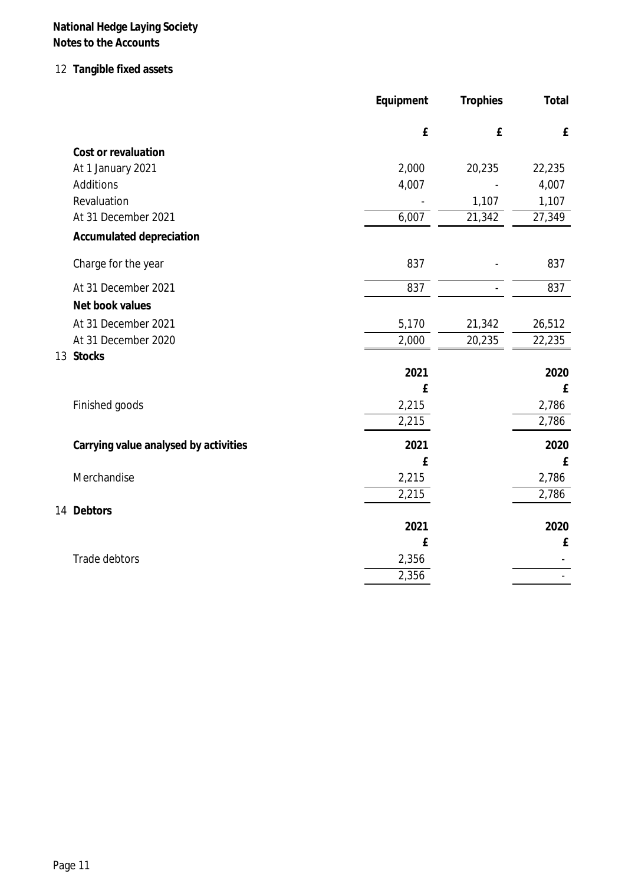# 12 **Tangible fixed assets**

|                                       | Equipment | Trophies | Total                    |
|---------------------------------------|-----------|----------|--------------------------|
|                                       | £         | £        | ${\bf f}$                |
| Cost or revaluation                   |           |          |                          |
| At 1 January 2021                     | 2,000     | 20,235   | 22,235                   |
| Additions                             | 4,007     |          | 4,007                    |
| Revaluation                           |           | 1,107    | 1,107                    |
| At 31 December 2021                   | 6,007     | 21,342   | 27,349                   |
| Accumulated depreciation              |           |          |                          |
| Charge for the year                   | 837       |          | 837                      |
| At 31 December 2021                   | 837       |          | 837                      |
| Net book values                       |           |          |                          |
| At 31 December 2021                   | 5,170     | 21,342   | 26,512                   |
| At 31 December 2020                   | 2,000     | 20,235   | 22,235                   |
| 13 Stocks                             |           |          |                          |
|                                       | 2021      |          | 2020                     |
|                                       | £         |          | £                        |
| Finished goods                        | 2,215     |          | 2,786                    |
|                                       | 2,215     |          | 2,786                    |
| Carrying value analysed by activities | 2021      |          | 2020                     |
|                                       | £         |          | ${\bf f}$                |
| Merchandise                           | 2,215     |          | 2,786                    |
|                                       | 2,215     |          | 2,786                    |
| 14 Debtors                            |           |          |                          |
|                                       | 2021      |          | 2020                     |
|                                       | £         |          | £                        |
| Trade debtors                         | 2,356     |          |                          |
|                                       | 2,356     |          | $\overline{\phantom{a}}$ |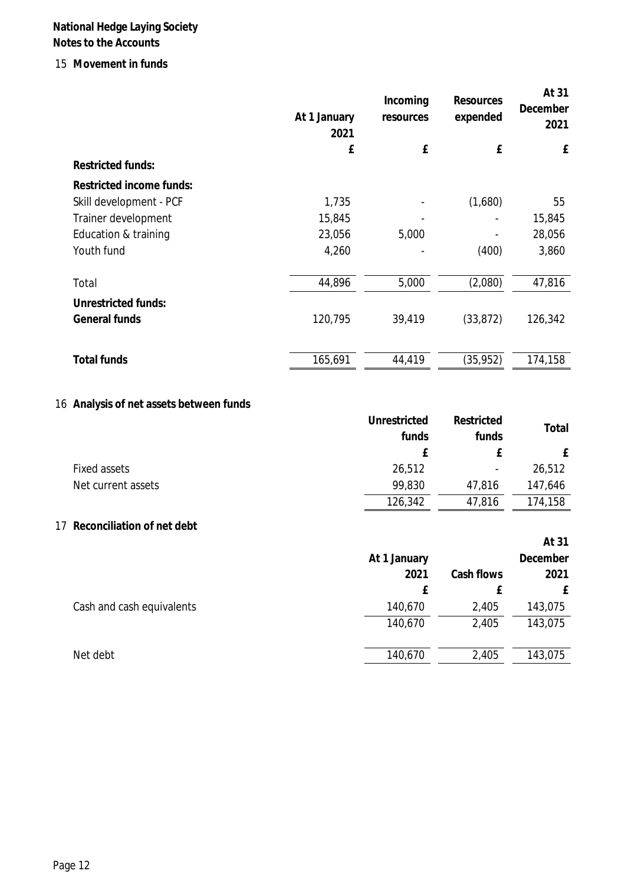#### 15 **Movement in funds**

|                          | At 1 January<br>2021 | Incoming<br>resources | Resources<br>expended | At 31<br>December<br>2021 |
|--------------------------|----------------------|-----------------------|-----------------------|---------------------------|
|                          | £                    | £                     | £                     | £                         |
| <b>Restricted funds:</b> |                      |                       |                       |                           |
| Restricted income funds: |                      |                       |                       |                           |
| Skill development - PCF  | 1,735                |                       | (1,680)               | 55                        |
| Trainer development      | 15,845               |                       |                       | 15,845                    |
| Education & training     | 23,056               | 5,000                 |                       | 28,056                    |
| Youth fund               | 4,260                |                       | (400)                 | 3,860                     |
| Total                    | 44,896               | 5,000                 | (2,080)               | 47,816                    |
| Unrestricted funds:      |                      |                       |                       |                           |
| General funds            | 120,795              | 39,419                | (33, 872)             | 126,342                   |
|                          |                      |                       |                       |                           |
| <b>Total funds</b>       | 165,691              | 44,419                | (35, 952)             | 174,158                   |

## 16 **Analysis of net assets between funds**

|                    | Unrestricted | Restricted               |         |
|--------------------|--------------|--------------------------|---------|
|                    | funds        | funds                    | Total   |
|                    |              |                          |         |
| Fixed assets       | 26,512       | $\overline{\phantom{a}}$ | 26,512  |
| Net current assets | 99,830       | 47,816                   | 147,646 |
|                    | 126,342      | 47,816                   | 174,158 |

#### 17 **Reconciliation of net debt**

|                           |              |            | At 31    |
|---------------------------|--------------|------------|----------|
|                           | At 1 January |            | December |
|                           | 2021         | Cash flows | 2021     |
|                           | f            | Ł.         |          |
| Cash and cash equivalents | 140,670      | 2,405      | 143,075  |
|                           | 140,670      | 2,405      | 143,075  |
|                           |              |            |          |
| Net debt                  | 140,670      | 2,405      | 143,075  |
|                           |              |            |          |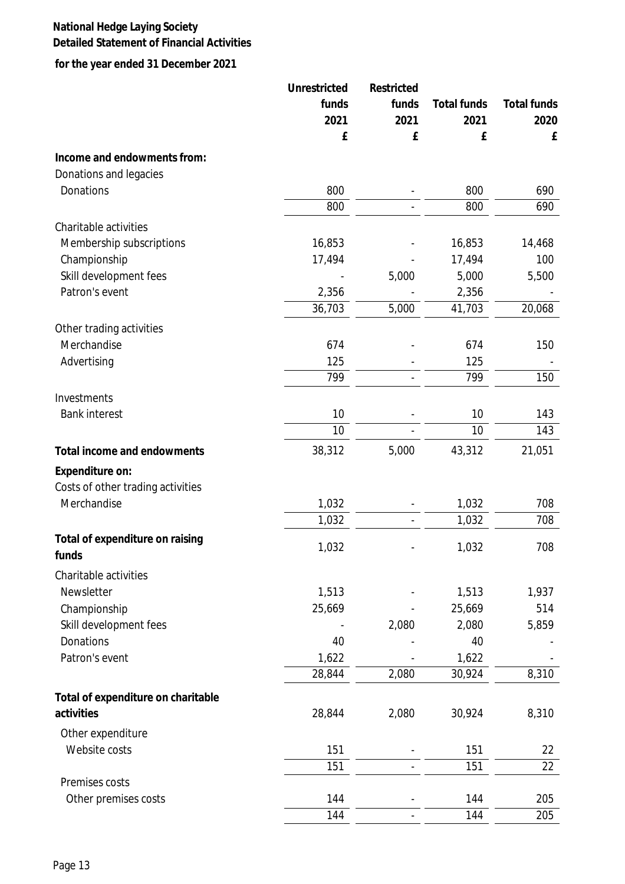## **National Hedge Laying Society Detailed Statement of Financial Activities**

**for the year ended 31 December 2021**

|                                                  | Unrestricted   | Restricted<br>funds | Total funds    | Total funds |
|--------------------------------------------------|----------------|---------------------|----------------|-------------|
|                                                  | funds          |                     |                |             |
|                                                  | 2021           | 2021                | 2021           | 2020        |
|                                                  | £              | £                   | £              | £           |
| Income and endowments from:                      |                |                     |                |             |
| Donations and legacies                           |                |                     |                |             |
| Donations                                        | 800            |                     | 800            | 690         |
|                                                  | 800            |                     | 800            | 690         |
| Charitable activities                            |                |                     |                |             |
| Membership subscriptions                         | 16,853         |                     | 16,853         | 14,468      |
| Championship                                     | 17,494         |                     | 17,494         | 100         |
| Skill development fees                           |                | 5,000               | 5,000          | 5,500       |
| Patron's event                                   | 2,356          |                     | 2,356          |             |
|                                                  | 36,703         | 5,000               | 41,703         | 20,068      |
| Other trading activities                         |                |                     |                |             |
| Merchandise                                      | 674            |                     | 674            | 150         |
| Advertising                                      | 125            |                     | 125            |             |
|                                                  | 799            |                     | 799            | 150         |
| Investments                                      |                |                     |                |             |
| <b>Bank interest</b>                             | 10             |                     | 10             | 143         |
|                                                  | 10             |                     | 10             | 143         |
| Total income and endowments                      | 38,312         | 5,000               | 43,312         | 21,051      |
|                                                  |                |                     |                |             |
| Expenditure on:                                  |                |                     |                |             |
| Costs of other trading activities<br>Merchandise |                |                     |                | 708         |
|                                                  | 1,032<br>1,032 |                     | 1,032<br>1,032 | 708         |
|                                                  |                |                     |                |             |
| Total of expenditure on raising<br>funds         | 1,032          |                     | 1,032          | 708         |
| Charitable activities                            |                |                     |                |             |
| Newsletter                                       | 1,513          |                     | 1,513          | 1,937       |
| Championship                                     | 25,669         |                     | 25,669         | 514         |
| Skill development fees                           |                | 2,080               | 2,080          | 5,859       |
| Donations                                        | 40             |                     | 40             |             |
| Patron's event                                   | 1,622          |                     | 1,622          |             |
|                                                  | 28,844         | 2,080               | 30,924         | 8,310       |
| Total of expenditure on charitable               |                |                     |                |             |
| activities                                       | 28,844         | 2,080               | 30,924         | 8,310       |
|                                                  |                |                     |                |             |
| Other expenditure<br>Website costs               | 151            |                     | 151            |             |
|                                                  |                |                     |                | 22          |
| Premises costs                                   | 151            |                     | 151            | 22          |
| Other premises costs                             | 144            |                     | 144            | 205         |
|                                                  | 144            |                     | 144            | 205         |
|                                                  |                |                     |                |             |